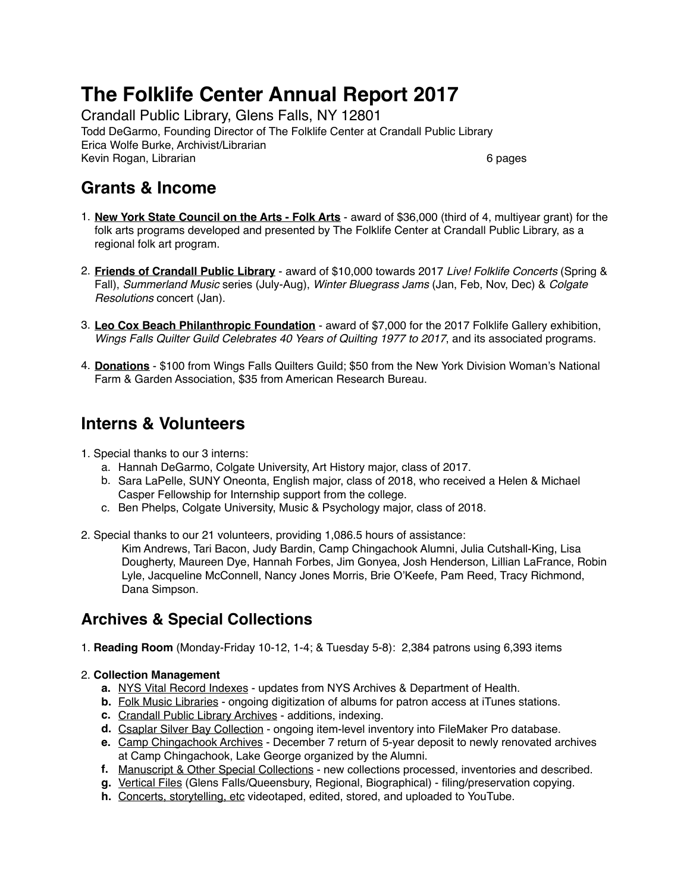# **The Folklife Center Annual Report 2017**

Crandall Public Library, Glens Falls, NY 12801 Todd DeGarmo, Founding Director of The Folklife Center at Crandall Public Library Erica Wolfe Burke, Archivist/Librarian Kevin Rogan, Librarian 6 pages and the control of the control of the control of the control of the control of the control of the control of the control of the control of the control of the control of the control of the con

### **Grants & Income**

- 1. **New York State Council on the Arts Folk Arts** award of \$36,000 (third of 4, multiyear grant) for the folk arts programs developed and presented by The Folklife Center at Crandall Public Library, as a regional folk art program.
- 2. **Friends of Crandall Public Library** award of \$10,000 towards 2017 *Live! Folklife Concerts* (Spring & Fall), *Summerland Music* series (July-Aug), *Winter Bluegrass Jams* (Jan, Feb, Nov, Dec) & *Colgate Resolutions* concert (Jan).
- 3. **Leo Cox Beach Philanthropic Foundation** award of \$7,000 for the 2017 Folklife Gallery exhibition, *Wings Falls Quilter Guild Celebrates 40 Years of Quilting 1977 to 2017*, and its associated programs.
- 4. **Donations** \$100 from Wings Falls Quilters Guild; \$50 from the New York Division Woman's National Farm & Garden Association, \$35 from American Research Bureau.

## **Interns & Volunteers**

- 1. Special thanks to our 3 interns:
	- a. Hannah DeGarmo, Colgate University, Art History major, class of 2017.
	- b. Sara LaPelle, SUNY Oneonta, English major, class of 2018, who received a Helen & Michael Casper Fellowship for Internship support from the college.
	- c. Ben Phelps, Colgate University, Music & Psychology major, class of 2018.
- 2. Special thanks to our 21 volunteers, providing 1,086.5 hours of assistance: Kim Andrews, Tari Bacon, Judy Bardin, Camp Chingachook Alumni, Julia Cutshall-King, Lisa Dougherty, Maureen Dye, Hannah Forbes, Jim Gonyea, Josh Henderson, Lillian LaFrance, Robin Lyle, Jacqueline McConnell, Nancy Jones Morris, Brie O'Keefe, Pam Reed, Tracy Richmond, Dana Simpson.

### **Archives & Special Collections**

1. **Reading Room** (Monday-Friday 10-12, 1-4; & Tuesday 5-8): 2,384 patrons using 6,393 items

#### 2. **Collection Management**

- **a.** NYS Vital Record Indexes updates from NYS Archives & Department of Health.
- **b.** Folk Music Libraries ongoing digitization of albums for patron access at iTunes stations.
- **c.** Crandall Public Library Archives additions, indexing.
- **d.** Csaplar Silver Bay Collection ongoing item-level inventory into FileMaker Pro database.
- **e.** Camp Chingachook Archives December 7 return of 5-year deposit to newly renovated archives at Camp Chingachook, Lake George organized by the Alumni.
- **f.** Manuscript & Other Special Collections new collections processed, inventories and described.
- **g.** Vertical Files (Glens Falls/Queensbury, Regional, Biographical) filing/preservation copying.
- **h.** Concerts, storytelling, etc videotaped, edited, stored, and uploaded to YouTube.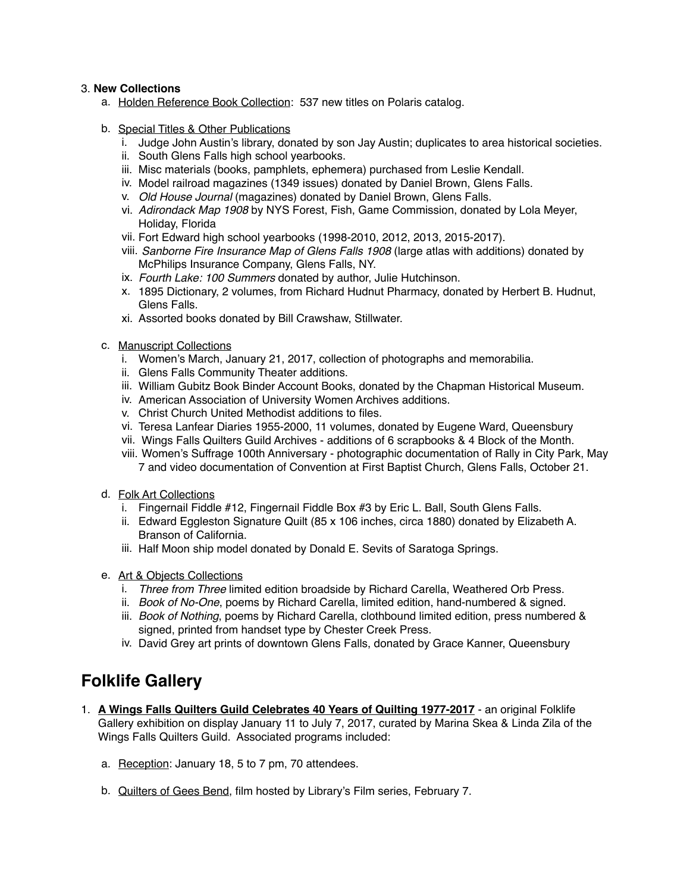#### 3. **New Collections**

- a. Holden Reference Book Collection: 537 new titles on Polaris catalog.
- b. Special Titles & Other Publications
	- i. Judge John Austin's library, donated by son Jay Austin; duplicates to area historical societies.
	- ii. South Glens Falls high school yearbooks.
	- iii. Misc materials (books, pamphlets, ephemera) purchased from Leslie Kendall.
	- iv. Model railroad magazines (1349 issues) donated by Daniel Brown, Glens Falls.
	- v. *Old House Journal* (magazines) donated by Daniel Brown, Glens Falls.
	- vi. *Adirondack Map 1908* by NYS Forest, Fish, Game Commission, donated by Lola Meyer, Holiday, Florida
	- vii. Fort Edward high school yearbooks (1998-2010, 2012, 2013, 2015-2017).
	- viii. *Sanborne Fire Insurance Map of Glens Falls 1908* (large atlas with additions) donated by McPhilips Insurance Company, Glens Falls, NY.
	- ix. *Fourth Lake: 100 Summers* donated by author, Julie Hutchinson.
	- x. 1895 Dictionary, 2 volumes, from Richard Hudnut Pharmacy, donated by Herbert B. Hudnut, Glens Falls.
	- xi. Assorted books donated by Bill Crawshaw, Stillwater.
- c. Manuscript Collections
	- i. Women's March, January 21, 2017, collection of photographs and memorabilia.
	- ii. Glens Falls Community Theater additions.
	- iii. William Gubitz Book Binder Account Books, donated by the Chapman Historical Museum.
	- iv. American Association of University Women Archives additions.
	- v. Christ Church United Methodist additions to files.
	- vi. Teresa Lanfear Diaries 1955-2000, 11 volumes, donated by Eugene Ward, Queensbury
	- vii. Wings Falls Quilters Guild Archives additions of 6 scrapbooks & 4 Block of the Month.
	- viii. Women's Suffrage 100th Anniversary photographic documentation of Rally in City Park, May 7 and video documentation of Convention at First Baptist Church, Glens Falls, October 21.
- d. Folk Art Collections
	- i. Fingernail Fiddle #12, Fingernail Fiddle Box #3 by Eric L. Ball, South Glens Falls.
	- ii. Edward Eggleston Signature Quilt (85 x 106 inches, circa 1880) donated by Elizabeth A. Branson of California.
	- iii. Half Moon ship model donated by Donald E. Sevits of Saratoga Springs.
- e. Art & Objects Collections
	- i. *Three from Three* limited edition broadside by Richard Carella, Weathered Orb Press.
	- ii. *Book of No-One*, poems by Richard Carella, limited edition, hand-numbered & signed.
	- iii. *Book of Nothing*, poems by Richard Carella, clothbound limited edition, press numbered & signed, printed from handset type by Chester Creek Press.
	- iv. David Grey art prints of downtown Glens Falls, donated by Grace Kanner, Queensbury

## **Folklife Gallery**

- 1. **A Wings Falls Quilters Guild Celebrates 40 Years of Quilting 1977-2017** an original Folklife Gallery exhibition on display January 11 to July 7, 2017, curated by Marina Skea & Linda Zila of the Wings Falls Quilters Guild. Associated programs included:
	- a. Reception: January 18, 5 to 7 pm, 70 attendees.
	- b. Quilters of Gees Bend, film hosted by Library's Film series, February 7.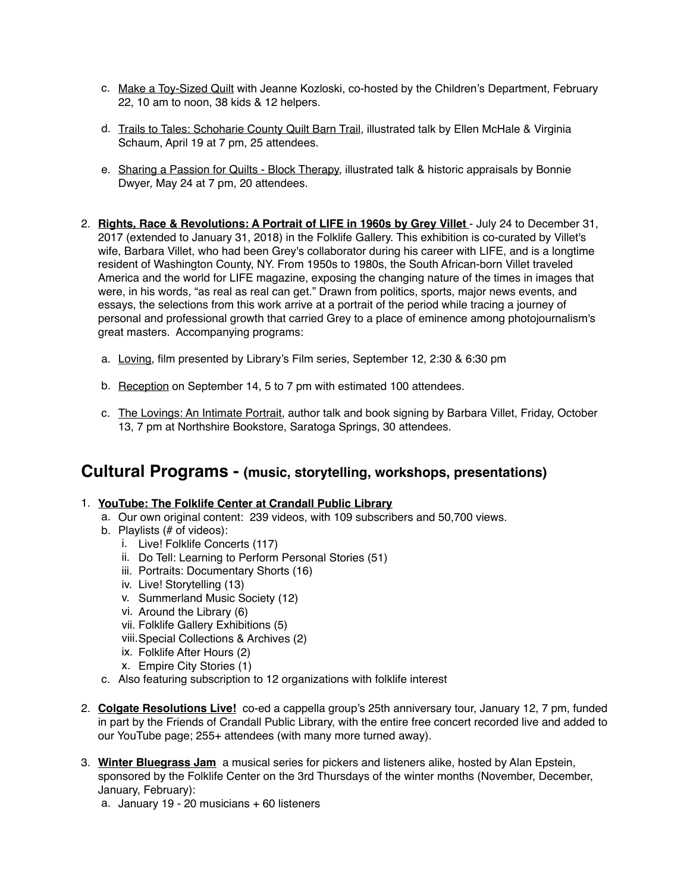- c. Make a Toy-Sized Quilt with Jeanne Kozloski, co-hosted by the Children's Department, February 22, 10 am to noon, 38 kids & 12 helpers.
- d. Trails to Tales: Schoharie County Quilt Barn Trail, illustrated talk by Ellen McHale & Virginia Schaum, April 19 at 7 pm, 25 attendees.
- e. Sharing a Passion for Quilts Block Therapy, illustrated talk & historic appraisals by Bonnie Dwyer, May 24 at 7 pm, 20 attendees.
- 2. **Rights, Race & Revolutions: A Portrait of LIFE in 1960s by Grey Villet**  July 24 to December 31, 2017 (extended to January 31, 2018) in the Folklife Gallery. This exhibition is co-curated by Villet's wife, Barbara Villet, who had been Grey's collaborator during his career with LIFE, and is a longtime resident of Washington County, NY. From 1950s to 1980s, the South African-born Villet traveled America and the world for LIFE magazine, exposing the changing nature of the times in images that were, in his words, "as real as real can get." Drawn from politics, sports, major news events, and essays, the selections from this work arrive at a portrait of the period while tracing a journey of personal and professional growth that carried Grey to a place of eminence among photojournalism's great masters. Accompanying programs:
	- a. Loving, film presented by Library's Film series, September 12, 2:30 & 6:30 pm
	- b. Reception on September 14, 5 to 7 pm with estimated 100 attendees.
	- c. The Lovings: An Intimate Portrait, author talk and book signing by Barbara Villet, Friday, October 13, 7 pm at Northshire Bookstore, Saratoga Springs, 30 attendees.

#### **Cultural Programs - (music, storytelling, workshops, presentations)**

#### 1. **YouTube: The Folklife Center at Crandall Public Library**

- a. Our own original content: 239 videos, with 109 subscribers and 50,700 views.
- b. Playlists (# of videos):
	- i. Live! Folklife Concerts (117)
	- ii. Do Tell: Learning to Perform Personal Stories (51)
	- iii. Portraits: Documentary Shorts (16)
	- iv. Live! Storytelling (13)
	- v. Summerland Music Society (12)
	- vi. Around the Library (6)
	- vii. Folklife Gallery Exhibitions (5)
	- viii.Special Collections & Archives (2)
	- ix. Folklife After Hours (2)
	- x. Empire City Stories (1)
- c. Also featuring subscription to 12 organizations with folklife interest
- 2. **Colgate Resolutions Live!** co-ed a cappella group's 25th anniversary tour, January 12, 7 pm, funded in part by the Friends of Crandall Public Library, with the entire free concert recorded live and added to our YouTube page; 255+ attendees (with many more turned away).
- 3. **Winter Bluegrass Jam** a musical series for pickers and listeners alike, hosted by Alan Epstein, sponsored by the Folklife Center on the 3rd Thursdays of the winter months (November, December, January, February):
	- a. January 19 20 musicians + 60 listeners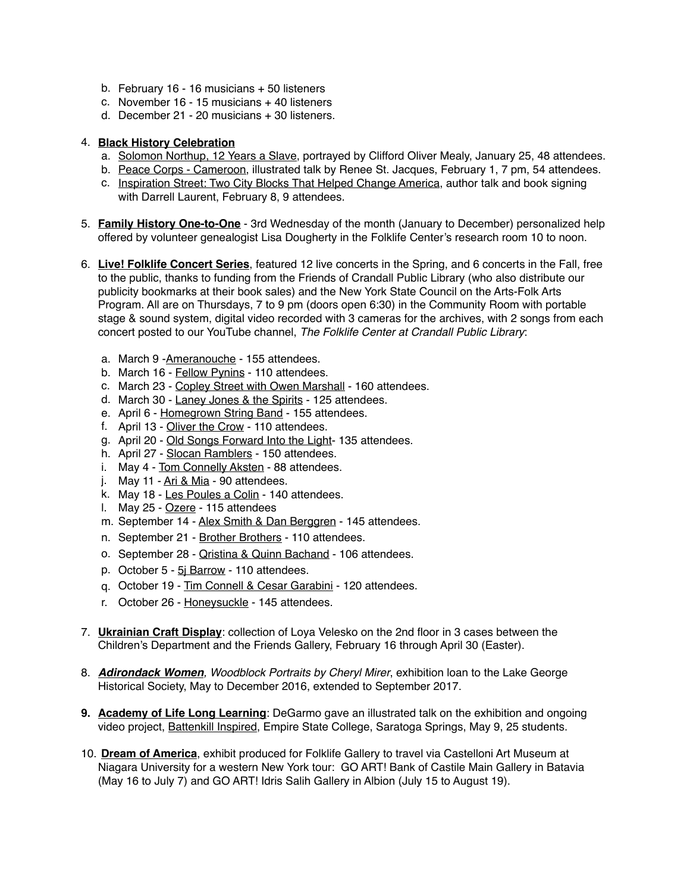- b. February 16 16 musicians + 50 listeners
- c. November 16 15 musicians + 40 listeners
- d. December 21 20 musicians + 30 listeners.

#### 4. **Black History Celebration**

- a. Solomon Northup, 12 Years a Slave, portrayed by Clifford Oliver Mealy, January 25, 48 attendees.
- b. Peace Corps Cameroon, illustrated talk by Renee St. Jacques, February 1, 7 pm, 54 attendees.
- c. Inspiration Street: Two City Blocks That Helped Change America, author talk and book signing with Darrell Laurent, February 8, 9 attendees.
- 5. **Family History One-to-One** 3rd Wednesday of the month (January to December) personalized help offered by volunteer genealogist Lisa Dougherty in the Folklife Center's research room 10 to noon.
- 6. **Live! Folklife Concert Series**, featured 12 live concerts in the Spring, and 6 concerts in the Fall, free to the public, thanks to funding from the Friends of Crandall Public Library (who also distribute our publicity bookmarks at their book sales) and the New York State Council on the Arts-Folk Arts Program. All are on Thursdays, 7 to 9 pm (doors open 6:30) in the Community Room with portable stage & sound system, digital video recorded with 3 cameras for the archives, with 2 songs from each concert posted to our YouTube channel, *The Folklife Center at Crandall Public Library*:
	- a. March 9 -Ameranouche 155 attendees.
	- b. March 16 Fellow Pynins 110 attendees.
	- c. March 23 Copley Street with Owen Marshall 160 attendees.
	- d. March 30 Laney Jones & the Spirits 125 attendees.
	- e. April 6 Homegrown String Band 155 attendees.
	- f. April 13 Oliver the Crow 110 attendees.
	- g. April 20 Old Songs Forward Into the Light- 135 attendees.
	- h. April 27 Slocan Ramblers 150 attendees.
	- i. May 4 Tom Connelly Aksten 88 attendees.
	- j. May 11 Ari & Mia 90 attendees.
	- k. May 18 Les Poules a Colin 140 attendees.
	- l. May 25 Ozere 115 attendees
	- m. September 14 Alex Smith & Dan Berggren 145 attendees.
	- n. September 21 Brother Brothers 110 attendees.
	- o. September 28 Qristina & Quinn Bachand 106 attendees.
	- p. October 5 5j Barrow 110 attendees.
	- q. October 19 Tim Connell & Cesar Garabini 120 attendees.
	- r. October 26 Honeysuckle 145 attendees.
- 7. **Ukrainian Craft Display**: collection of Loya Velesko on the 2nd floor in 3 cases between the Children's Department and the Friends Gallery, February 16 through April 30 (Easter).
- 8. *Adirondack Women, Woodblock Portraits by Cheryl Mirer*, exhibition loan to the Lake George Historical Society, May to December 2016, extended to September 2017.
- **9. Academy of Life Long Learning**: DeGarmo gave an illustrated talk on the exhibition and ongoing video project, Battenkill Inspired, Empire State College, Saratoga Springs, May 9, 25 students.
- 10. **Dream of America**, exhibit produced for Folklife Gallery to travel via Castelloni Art Museum at Niagara University for a western New York tour: GO ART! Bank of Castile Main Gallery in Batavia (May 16 to July 7) and GO ART! Idris Salih Gallery in Albion (July 15 to August 19).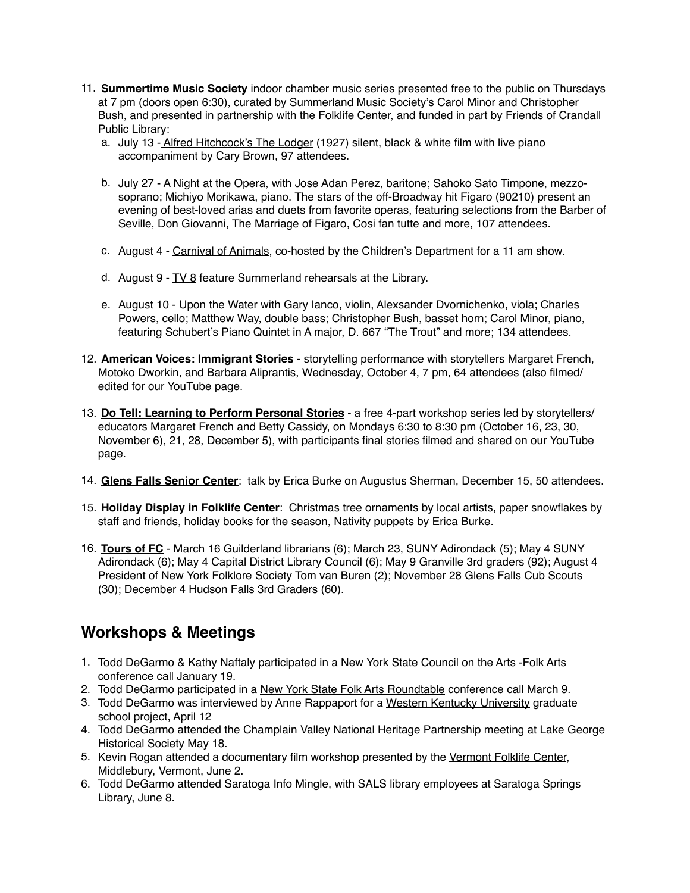- 11. **Summertime Music Society** indoor chamber music series presented free to the public on Thursdays at 7 pm (doors open 6:30), curated by Summerland Music Society's Carol Minor and Christopher Bush, and presented in partnership with the Folklife Center, and funded in part by Friends of Crandall Public Library:
	- a. July 13 Alfred Hitchcock's The Lodger (1927) silent, black & white film with live piano accompaniment by Cary Brown, 97 attendees.
	- b. July 27 A Night at the Opera, with Jose Adan Perez, baritone; Sahoko Sato Timpone, mezzosoprano; Michiyo Morikawa, piano. The stars of the off-Broadway hit Figaro (90210) present an evening of best-loved arias and duets from favorite operas, featuring selections from the Barber of Seville, Don Giovanni, The Marriage of Figaro, Cosi fan tutte and more, 107 attendees.
	- c. August 4 Carnival of Animals, co-hosted by the Children's Department for a 11 am show.
	- d. August  $9 TV 8$  feature Summerland rehearsals at the Library.
	- e. August 10 Upon the Water with Gary Ianco, violin, Alexsander Dvornichenko, viola; Charles Powers, cello; Matthew Way, double bass; Christopher Bush, basset horn; Carol Minor, piano, featuring Schubert's Piano Quintet in A major, D. 667 "The Trout" and more; 134 attendees.
- 12. **American Voices: Immigrant Stories** storytelling performance with storytellers Margaret French, Motoko Dworkin, and Barbara Aliprantis, Wednesday, October 4, 7 pm, 64 attendees (also filmed/ edited for our YouTube page.
- 13. **Do Tell: Learning to Perform Personal Stories** a free 4-part workshop series led by storytellers/ educators Margaret French and Betty Cassidy, on Mondays 6:30 to 8:30 pm (October 16, 23, 30, November 6), 21, 28, December 5), with participants final stories filmed and shared on our YouTube page.
- 14. **Glens Falls Senior Center**: talk by Erica Burke on Augustus Sherman, December 15, 50 attendees.
- 15. **Holiday Display in Folklife Center**: Christmas tree ornaments by local artists, paper snowflakes by staff and friends, holiday books for the season, Nativity puppets by Erica Burke.
- 16. **Tours of FC** March 16 Guilderland librarians (6); March 23, SUNY Adirondack (5); May 4 SUNY Adirondack (6); May 4 Capital District Library Council (6); May 9 Granville 3rd graders (92); August 4 President of New York Folklore Society Tom van Buren (2); November 28 Glens Falls Cub Scouts (30); December 4 Hudson Falls 3rd Graders (60).

### **Workshops & Meetings**

- 1. Todd DeGarmo & Kathy Naftaly participated in a New York State Council on the Arts -Folk Arts conference call January 19.
- 2. Todd DeGarmo participated in a New York State Folk Arts Roundtable conference call March 9.
- 3. Todd DeGarmo was interviewed by Anne Rappaport for a Western Kentucky University graduate school project, April 12
- 4. Todd DeGarmo attended the Champlain Valley National Heritage Partnership meeting at Lake George Historical Society May 18.
- 5. Kevin Rogan attended a documentary film workshop presented by the Vermont Folklife Center, Middlebury, Vermont, June 2.
- 6. Todd DeGarmo attended Saratoga Info Mingle, with SALS library employees at Saratoga Springs Library, June 8.